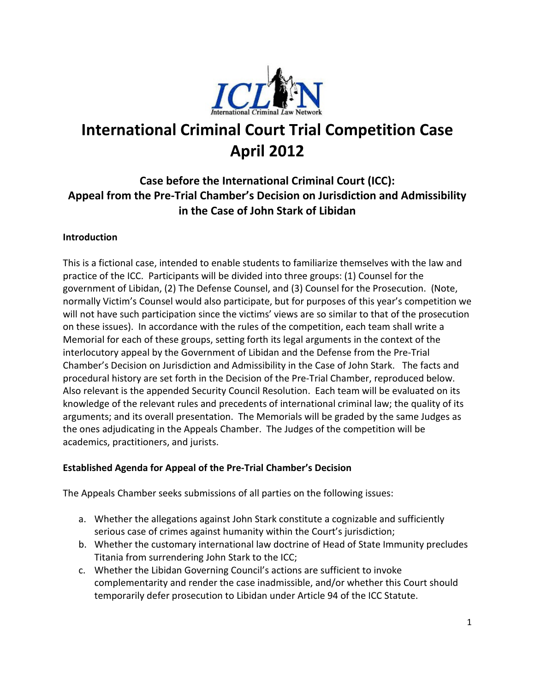

# **International Criminal Court Trial Competition Case April 2012**

### **Case before the International Criminal Court (ICC): Appeal from the Pre-Trial Chamber's Decision on Jurisdiction and Admissibility in the Case of John Stark of Libidan**

#### **Introduction**

This is a fictional case, intended to enable students to familiarize themselves with the law and practice of the ICC. Participants will be divided into three groups: (1) Counsel for the government of Libidan, (2) The Defense Counsel, and (3) Counsel for the Prosecution. (Note, normally Victim's Counsel would also participate, but for purposes of this year's competition we will not have such participation since the victims' views are so similar to that of the prosecution on these issues). In accordance with the rules of the competition, each team shall write a Memorial for each of these groups, setting forth its legal arguments in the context of the interlocutory appeal by the Government of Libidan and the Defense from the Pre-Trial Chamber's Decision on Jurisdiction and Admissibility in the Case of John Stark. The facts and procedural history are set forth in the Decision of the Pre-Trial Chamber, reproduced below. Also relevant is the appended Security Council Resolution. Each team will be evaluated on its knowledge of the relevant rules and precedents of international criminal law; the quality of its arguments; and its overall presentation. The Memorials will be graded by the same Judges as the ones adjudicating in the Appeals Chamber. The Judges of the competition will be academics, practitioners, and jurists.

#### **Established Agenda for Appeal of the Pre-Trial Chamber's Decision**

The Appeals Chamber seeks submissions of all parties on the following issues:

- a. Whether the allegations against John Stark constitute a cognizable and sufficiently serious case of crimes against humanity within the Court's jurisdiction;
- b. Whether the customary international law doctrine of Head of State Immunity precludes Titania from surrendering John Stark to the ICC;
- c. Whether the Libidan Governing Council's actions are sufficient to invoke complementarity and render the case inadmissible, and/or whether this Court should temporarily defer prosecution to Libidan under Article 94 of the ICC Statute.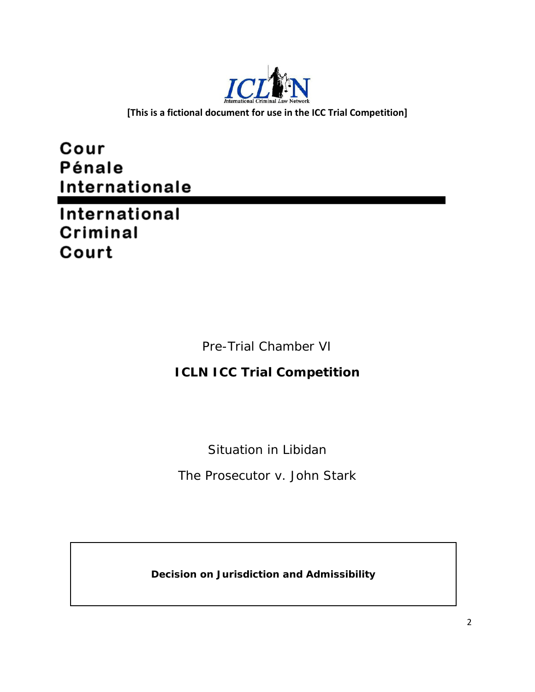

**[This is a fictional document for use in the ICC Trial Competition]**

Cour **Pénale** Internationale

International Criminal Court

Pre-Trial Chamber VI

## **ICLN ICC Trial Competition**

Situation in Libidan

*The Prosecutor v. John Stark*

**Decision on Jurisdiction and Admissibility**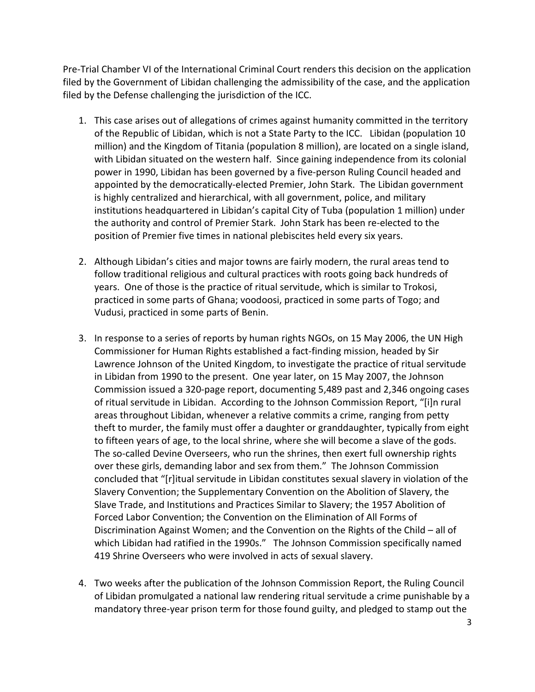Pre-Trial Chamber VI of the International Criminal Court renders this decision on the application filed by the Government of Libidan challenging the admissibility of the case, and the application filed by the Defense challenging the jurisdiction of the ICC.

- 1. This case arises out of allegations of crimes against humanity committed in the territory of the Republic of Libidan, which is not a State Party to the ICC. Libidan (population 10 million) and the Kingdom of Titania (population 8 million), are located on a single island, with Libidan situated on the western half. Since gaining independence from its colonial power in 1990, Libidan has been governed by a five-person Ruling Council headed and appointed by the democratically-elected Premier, John Stark. The Libidan government is highly centralized and hierarchical, with all government, police, and military institutions headquartered in Libidan's capital City of Tuba (population 1 million) under the authority and control of Premier Stark. John Stark has been re-elected to the position of Premier five times in national plebiscites held every six years.
- 2. Although Libidan's cities and major towns are fairly modern, the rural areas tend to follow traditional religious and cultural practices with roots going back hundreds of years. One of those is the practice of ritual servitude, which is similar to Trokosi, practiced in some parts of Ghana; voodoosi, practiced in some parts of Togo; and Vudusi, practiced in some parts of Benin.
- 3. In response to a series of reports by human rights NGOs, on 15 May 2006, the UN High Commissioner for Human Rights established a fact-finding mission, headed by Sir Lawrence Johnson of the United Kingdom, to investigate the practice of ritual servitude in Libidan from 1990 to the present. One year later, on 15 May 2007, the Johnson Commission issued a 320-page report, documenting 5,489 past and 2,346 ongoing cases of ritual servitude in Libidan. According to the Johnson Commission Report, "[i]n rural areas throughout Libidan, whenever a relative commits a crime, ranging from petty theft to murder, the family must offer a daughter or granddaughter, typically from eight to fifteen years of age, to the local shrine, where she will become a slave of the gods. The so-called Devine Overseers, who run the shrines, then exert full ownership rights over these girls, demanding labor and sex from them." The Johnson Commission concluded that "[r]itual servitude in Libidan constitutes sexual slavery in violation of the Slavery Convention; the Supplementary Convention on the Abolition of Slavery, the Slave Trade, and Institutions and Practices Similar to Slavery; the 1957 Abolition of Forced Labor Convention; the Convention on the Elimination of All Forms of Discrimination Against Women; and the Convention on the Rights of the Child – all of which Libidan had ratified in the 1990s." The Johnson Commission specifically named 419 Shrine Overseers who were involved in acts of sexual slavery.
- 4. Two weeks after the publication of the Johnson Commission Report, the Ruling Council of Libidan promulgated a national law rendering ritual servitude a crime punishable by a mandatory three-year prison term for those found guilty, and pledged to stamp out the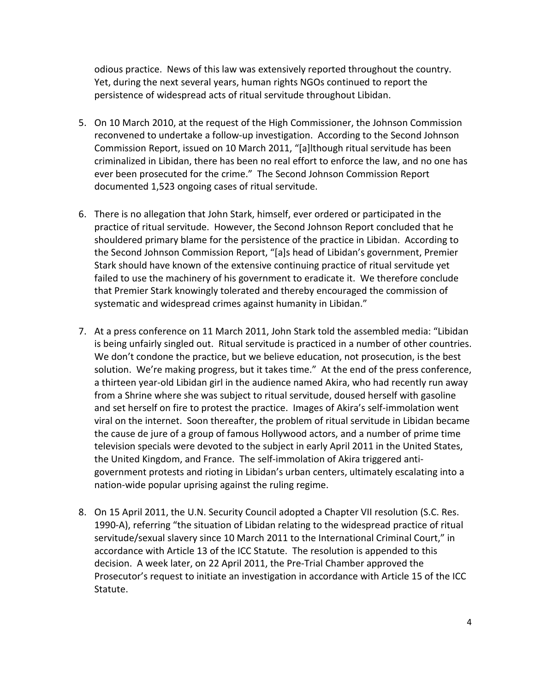odious practice. News of this law was extensively reported throughout the country. Yet, during the next several years, human rights NGOs continued to report the persistence of widespread acts of ritual servitude throughout Libidan.

- 5. On 10 March 2010, at the request of the High Commissioner, the Johnson Commission reconvened to undertake a follow-up investigation. According to the Second Johnson Commission Report, issued on 10 March 2011, "[a]lthough ritual servitude has been criminalized in Libidan, there has been no real effort to enforce the law, and no one has ever been prosecuted for the crime." The Second Johnson Commission Report documented 1,523 ongoing cases of ritual servitude.
- 6. There is no allegation that John Stark, himself, ever ordered or participated in the practice of ritual servitude. However, the Second Johnson Report concluded that he shouldered primary blame for the persistence of the practice in Libidan. According to the Second Johnson Commission Report, "[a]s head of Libidan's government, Premier Stark should have known of the extensive continuing practice of ritual servitude yet failed to use the machinery of his government to eradicate it. We therefore conclude that Premier Stark knowingly tolerated and thereby encouraged the commission of systematic and widespread crimes against humanity in Libidan."
- 7. At a press conference on 11 March 2011, John Stark told the assembled media: "Libidan is being unfairly singled out. Ritual servitude is practiced in a number of other countries. We don't condone the practice, but we believe education, not prosecution, is the best solution. We're making progress, but it takes time." At the end of the press conference, a thirteen year-old Libidan girl in the audience named Akira, who had recently run away from a Shrine where she was subject to ritual servitude, doused herself with gasoline and set herself on fire to protest the practice. Images of Akira's self-immolation went viral on the internet. Soon thereafter, the problem of ritual servitude in Libidan became the cause de jure of a group of famous Hollywood actors, and a number of prime time television specials were devoted to the subject in early April 2011 in the United States, the United Kingdom, and France. The self-immolation of Akira triggered antigovernment protests and rioting in Libidan's urban centers, ultimately escalating into a nation-wide popular uprising against the ruling regime.
- 8. On 15 April 2011, the U.N. Security Council adopted a Chapter VII resolution (S.C. Res. 1990-A), referring "the situation of Libidan relating to the widespread practice of ritual servitude/sexual slavery since 10 March 2011 to the International Criminal Court," in accordance with Article 13 of the ICC Statute. The resolution is appended to this decision. A week later, on 22 April 2011, the Pre-Trial Chamber approved the Prosecutor's request to initiate an investigation in accordance with Article 15 of the ICC Statute.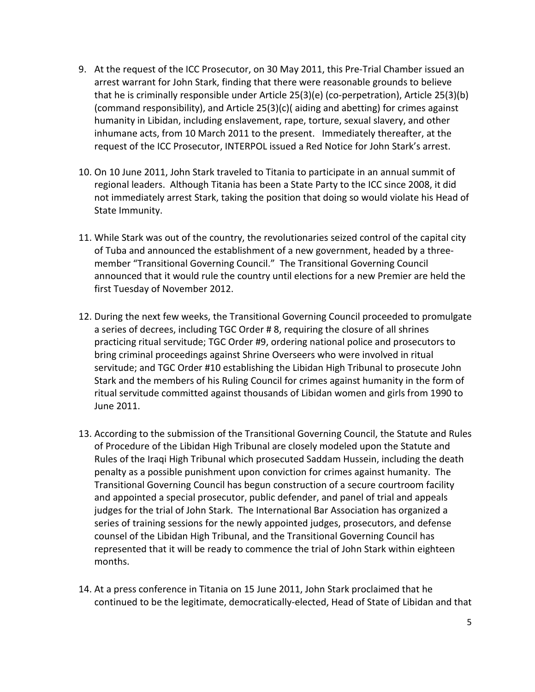- 9. At the request of the ICC Prosecutor, on 30 May 2011, this Pre-Trial Chamber issued an arrest warrant for John Stark, finding that there were reasonable grounds to believe that he is criminally responsible under Article 25(3)(e) (co-perpetration), Article 25(3)(b) (command responsibility), and Article 25(3)(c)( aiding and abetting) for crimes against humanity in Libidan, including enslavement, rape, torture, sexual slavery, and other inhumane acts, from 10 March 2011 to the present. Immediately thereafter, at the request of the ICC Prosecutor, INTERPOL issued a Red Notice for John Stark's arrest.
- 10. On 10 June 2011, John Stark traveled to Titania to participate in an annual summit of regional leaders. Although Titania has been a State Party to the ICC since 2008, it did not immediately arrest Stark, taking the position that doing so would violate his Head of State Immunity.
- 11. While Stark was out of the country, the revolutionaries seized control of the capital city of Tuba and announced the establishment of a new government, headed by a threemember "Transitional Governing Council." The Transitional Governing Council announced that it would rule the country until elections for a new Premier are held the first Tuesday of November 2012.
- 12. During the next few weeks, the Transitional Governing Council proceeded to promulgate a series of decrees, including TGC Order # 8, requiring the closure of all shrines practicing ritual servitude; TGC Order #9, ordering national police and prosecutors to bring criminal proceedings against Shrine Overseers who were involved in ritual servitude; and TGC Order #10 establishing the Libidan High Tribunal to prosecute John Stark and the members of his Ruling Council for crimes against humanity in the form of ritual servitude committed against thousands of Libidan women and girls from 1990 to June 2011.
- 13. According to the submission of the Transitional Governing Council, the Statute and Rules of Procedure of the Libidan High Tribunal are closely modeled upon the Statute and Rules of the Iraqi High Tribunal which prosecuted Saddam Hussein, including the death penalty as a possible punishment upon conviction for crimes against humanity. The Transitional Governing Council has begun construction of a secure courtroom facility and appointed a special prosecutor, public defender, and panel of trial and appeals judges for the trial of John Stark. The International Bar Association has organized a series of training sessions for the newly appointed judges, prosecutors, and defense counsel of the Libidan High Tribunal, and the Transitional Governing Council has represented that it will be ready to commence the trial of John Stark within eighteen months.
- 14. At a press conference in Titania on 15 June 2011, John Stark proclaimed that he continued to be the legitimate, democratically-elected, Head of State of Libidan and that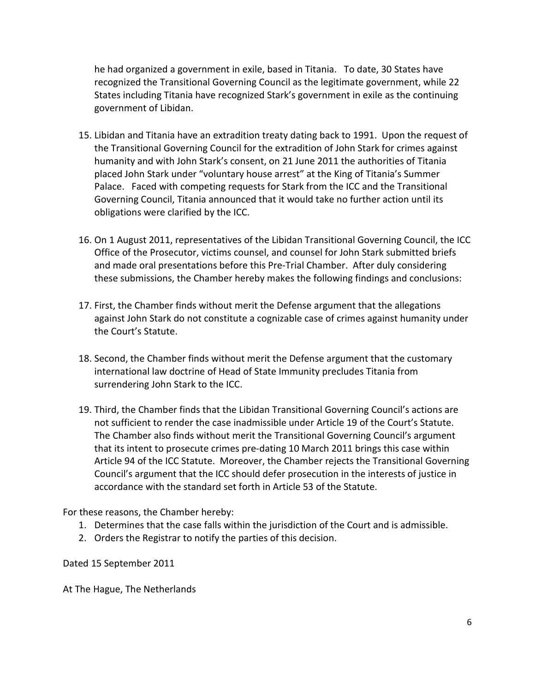he had organized a government in exile, based in Titania. To date, 30 States have recognized the Transitional Governing Council as the legitimate government, while 22 States including Titania have recognized Stark's government in exile as the continuing government of Libidan.

- 15. Libidan and Titania have an extradition treaty dating back to 1991. Upon the request of the Transitional Governing Council for the extradition of John Stark for crimes against humanity and with John Stark's consent, on 21 June 2011 the authorities of Titania placed John Stark under "voluntary house arrest" at the King of Titania's Summer Palace. Faced with competing requests for Stark from the ICC and the Transitional Governing Council, Titania announced that it would take no further action until its obligations were clarified by the ICC.
- 16. On 1 August 2011, representatives of the Libidan Transitional Governing Council, the ICC Office of the Prosecutor, victims counsel, and counsel for John Stark submitted briefs and made oral presentations before this Pre-Trial Chamber. After duly considering these submissions, the Chamber hereby makes the following findings and conclusions:
- 17. First, the Chamber finds without merit the Defense argument that the allegations against John Stark do not constitute a cognizable case of crimes against humanity under the Court's Statute.
- 18. Second, the Chamber finds without merit the Defense argument that the customary international law doctrine of Head of State Immunity precludes Titania from surrendering John Stark to the ICC.
- 19. Third, the Chamber finds that the Libidan Transitional Governing Council's actions are not sufficient to render the case inadmissible under Article 19 of the Court's Statute. The Chamber also finds without merit the Transitional Governing Council's argument that its intent to prosecute crimes pre-dating 10 March 2011 brings this case within Article 94 of the ICC Statute. Moreover, the Chamber rejects the Transitional Governing Council's argument that the ICC should defer prosecution in the interests of justice in accordance with the standard set forth in Article 53 of the Statute.

For these reasons, the Chamber hereby:

- 1. Determines that the case falls within the jurisdiction of the Court and is admissible.
- 2. Orders the Registrar to notify the parties of this decision.

Dated 15 September 2011

At The Hague, The Netherlands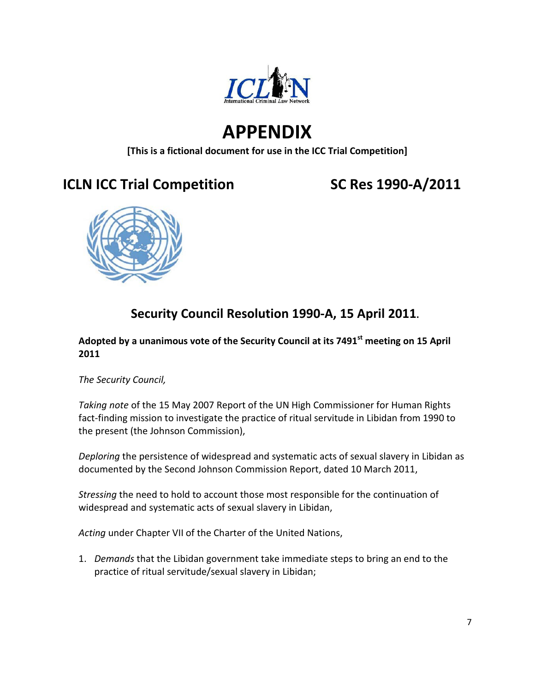

# **APPENDIX**

**[This is a fictional document for use in the ICC Trial Competition]**

## **ICLN ICC Trial Competition SC Res 1990-A/2011**



## **Security Council Resolution 1990-A, 15 April 2011.**

### **Adopted by a unanimous vote of the Security Council at its 7491st meeting on 15 April 2011**

*The Security Council,*

*Taking note* of the 15 May 2007 Report of the UN High Commissioner for Human Rights fact-finding mission to investigate the practice of ritual servitude in Libidan from 1990 to the present (the Johnson Commission),

*Deploring* the persistence of widespread and systematic acts of sexual slavery in Libidan as documented by the Second Johnson Commission Report, dated 10 March 2011,

*Stressing* the need to hold to account those most responsible for the continuation of widespread and systematic acts of sexual slavery in Libidan,

*Acting* under Chapter VII of the Charter of the United Nations,

1. *Demands* that the Libidan government take immediate steps to bring an end to the practice of ritual servitude/sexual slavery in Libidan;